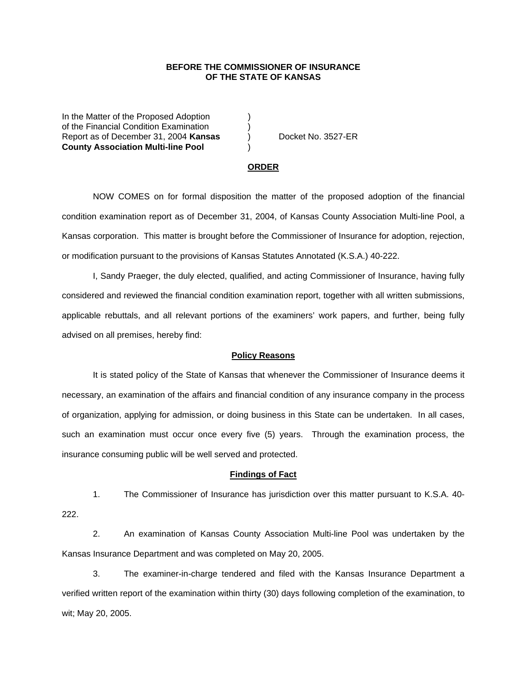## **BEFORE THE COMMISSIONER OF INSURANCE OF THE STATE OF KANSAS**

In the Matter of the Proposed Adoption of the Financial Condition Examination ) Report as of December 31, 2004 **Kansas** ) Docket No. 3527-ER **County Association Multi-line Pool** )

#### **ORDER**

 NOW COMES on for formal disposition the matter of the proposed adoption of the financial condition examination report as of December 31, 2004, of Kansas County Association Multi-line Pool, a Kansas corporation. This matter is brought before the Commissioner of Insurance for adoption, rejection, or modification pursuant to the provisions of Kansas Statutes Annotated (K.S.A.) 40-222.

 I, Sandy Praeger, the duly elected, qualified, and acting Commissioner of Insurance, having fully considered and reviewed the financial condition examination report, together with all written submissions, applicable rebuttals, and all relevant portions of the examiners' work papers, and further, being fully advised on all premises, hereby find:

### **Policy Reasons**

 It is stated policy of the State of Kansas that whenever the Commissioner of Insurance deems it necessary, an examination of the affairs and financial condition of any insurance company in the process of organization, applying for admission, or doing business in this State can be undertaken. In all cases, such an examination must occur once every five (5) years. Through the examination process, the insurance consuming public will be well served and protected.

#### **Findings of Fact**

 1. The Commissioner of Insurance has jurisdiction over this matter pursuant to K.S.A. 40- 222.

 2. An examination of Kansas County Association Multi-line Pool was undertaken by the Kansas Insurance Department and was completed on May 20, 2005.

 3. The examiner-in-charge tendered and filed with the Kansas Insurance Department a verified written report of the examination within thirty (30) days following completion of the examination, to wit; May 20, 2005.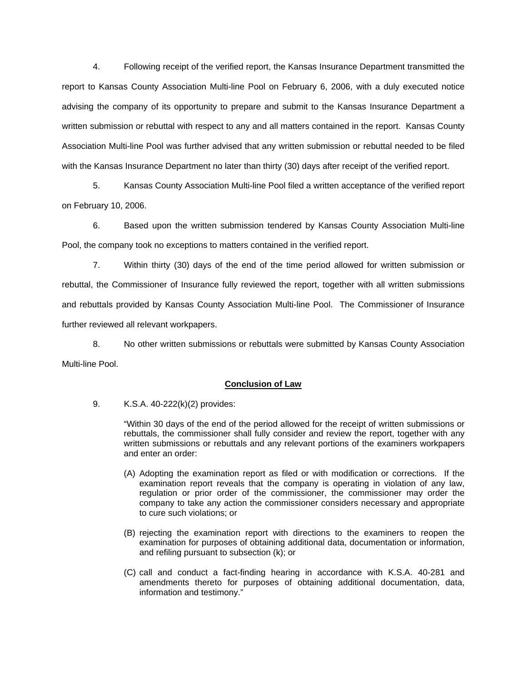4. Following receipt of the verified report, the Kansas Insurance Department transmitted the report to Kansas County Association Multi-line Pool on February 6, 2006, with a duly executed notice advising the company of its opportunity to prepare and submit to the Kansas Insurance Department a written submission or rebuttal with respect to any and all matters contained in the report. Kansas County Association Multi-line Pool was further advised that any written submission or rebuttal needed to be filed with the Kansas Insurance Department no later than thirty (30) days after receipt of the verified report.

 5. Kansas County Association Multi-line Pool filed a written acceptance of the verified report on February 10, 2006.

 6. Based upon the written submission tendered by Kansas County Association Multi-line Pool, the company took no exceptions to matters contained in the verified report.

 7. Within thirty (30) days of the end of the time period allowed for written submission or rebuttal, the Commissioner of Insurance fully reviewed the report, together with all written submissions and rebuttals provided by Kansas County Association Multi-line Pool. The Commissioner of Insurance further reviewed all relevant workpapers.

 8. No other written submissions or rebuttals were submitted by Kansas County Association Multi-line Pool.

## **Conclusion of Law**

9. K.S.A. 40-222(k)(2) provides:

"Within 30 days of the end of the period allowed for the receipt of written submissions or rebuttals, the commissioner shall fully consider and review the report, together with any written submissions or rebuttals and any relevant portions of the examiners workpapers and enter an order:

- (A) Adopting the examination report as filed or with modification or corrections. If the examination report reveals that the company is operating in violation of any law, regulation or prior order of the commissioner, the commissioner may order the company to take any action the commissioner considers necessary and appropriate to cure such violations; or
- (B) rejecting the examination report with directions to the examiners to reopen the examination for purposes of obtaining additional data, documentation or information, and refiling pursuant to subsection (k); or
- (C) call and conduct a fact-finding hearing in accordance with K.S.A. 40-281 and amendments thereto for purposes of obtaining additional documentation, data, information and testimony."